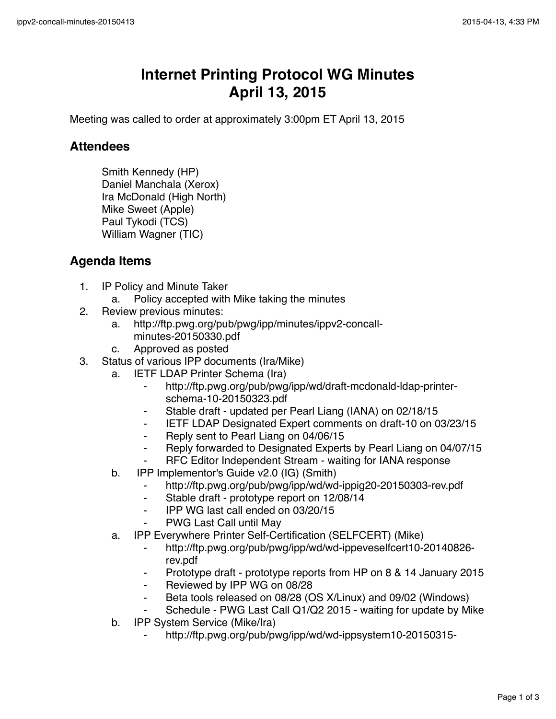## **Internet Printing Protocol WG Minutes April 13, 2015**

Meeting was called to order at approximately 3:00pm ET April 13, 2015

## **Attendees**

Smith Kennedy (HP) Daniel Manchala (Xerox) Ira McDonald (High North) Mike Sweet (Apple) Paul Tykodi (TCS) William Wagner (TIC)

## **Agenda Items**

- 1. IP Policy and Minute Taker
	- a. Policy accepted with Mike taking the minutes
- 2. Review previous minutes:
	- a. http://ftp.pwg.org/pub/pwg/ipp/minutes/ippv2-concallminutes-20150330.pdf
	- c. Approved as posted
- 3. Status of various IPP documents (Ira/Mike)
	- a. IETF LDAP Printer Schema (Ira)
		- ⁃ http://ftp.pwg.org/pub/pwg/ipp/wd/draft-mcdonald-ldap-printerschema-10-20150323.pdf
		- Stable draft updated per Pearl Liang (IANA) on 02/18/15
		- ⁃ IETF LDAP Designated Expert comments on draft-10 on 03/23/15
		- ⁃ Reply sent to Pearl Liang on 04/06/15
		- Reply forwarded to Designated Experts by Pearl Liang on 04/07/15
		- RFC Editor Independent Stream waiting for IANA response
	- b. IPP Implementor's Guide v2.0 (IG) (Smith)
		- ⁃ http://ftp.pwg.org/pub/pwg/ipp/wd/wd-ippig20-20150303-rev.pdf
		- ⁃ Stable draft prototype report on 12/08/14
		- ⁃ IPP WG last call ended on 03/20/15
		- **PWG Last Call until May**
	- a. IPP Everywhere Printer Self-Certification (SELFCERT) (Mike)
		- ⁃ http://ftp.pwg.org/pub/pwg/ipp/wd/wd-ippeveselfcert10-20140826 rev.pdf
		- Prototype draft prototype reports from HP on 8 & 14 January 2015
		- ⁃ Reviewed by IPP WG on 08/28
		- ⁃ Beta tools released on 08/28 (OS X/Linux) and 09/02 (Windows)
		- Schedule PWG Last Call Q1/Q2 2015 waiting for update by Mike
	- b. IPP System Service (Mike/Ira)
		- ⁃ http://ftp.pwg.org/pub/pwg/ipp/wd/wd-ippsystem10-20150315-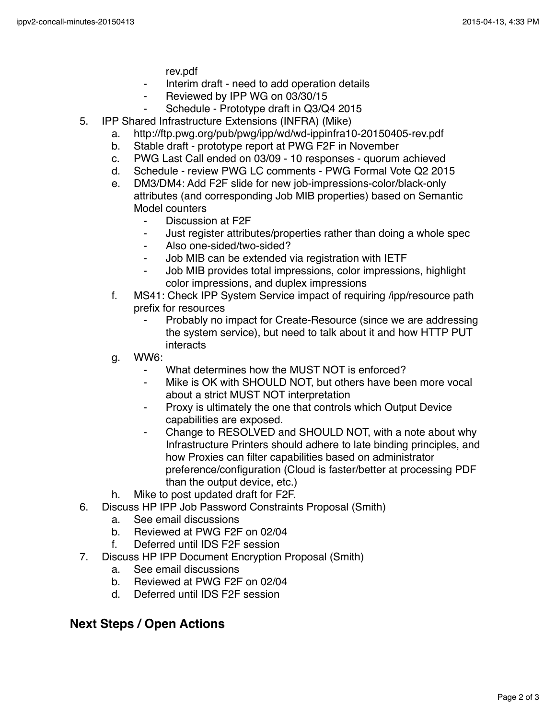rev.pdf

- Interim draft need to add operation details
- ⁃ Reviewed by IPP WG on 03/30/15
- Schedule Prototype draft in Q3/Q4 2015
- 5. IPP Shared Infrastructure Extensions (INFRA) (Mike)
	- a. http://ftp.pwg.org/pub/pwg/ipp/wd/wd-ippinfra10-20150405-rev.pdf
	- b. Stable draft prototype report at PWG F2F in November
	- c. PWG Last Call ended on 03/09 10 responses quorum achieved
	- d. Schedule review PWG LC comments PWG Formal Vote Q2 2015
	- e. DM3/DM4: Add F2F slide for new job-impressions-color/black-only attributes (and corresponding Job MIB properties) based on Semantic Model counters
		- Discussion at F2F
		- ⁃ Just register attributes/properties rather than doing a whole spec
		- ⁃ Also one-sided/two-sided?
		- Job MIB can be extended via registration with IETF
		- Job MIB provides total impressions, color impressions, highlight color impressions, and duplex impressions
	- f. MS41: Check IPP System Service impact of requiring /ipp/resource path prefix for resources
		- Probably no impact for Create-Resource (since we are addressing the system service), but need to talk about it and how HTTP PUT interacts
	- g. WW6:
		- What determines how the MUST NOT is enforced?
		- ⁃ Mike is OK with SHOULD NOT, but others have been more vocal about a strict MUST NOT interpretation
		- Proxy is ultimately the one that controls which Output Device capabilities are exposed.
		- Change to RESOLVED and SHOULD NOT, with a note about why Infrastructure Printers should adhere to late binding principles, and how Proxies can filter capabilities based on administrator preference/configuration (Cloud is faster/better at processing PDF than the output device, etc.)
	- h. Mike to post updated draft for F2F.
- 6. Discuss HP IPP Job Password Constraints Proposal (Smith)
	- a. See email discussions
		- b. Reviewed at PWG F2F on 02/04
		- f. Deferred until IDS F2F session
- 7. Discuss HP IPP Document Encryption Proposal (Smith)
	- a. See email discussions
	- b. Reviewed at PWG F2F on 02/04
	- d. Deferred until IDS F2F session

## **Next Steps / Open Actions**